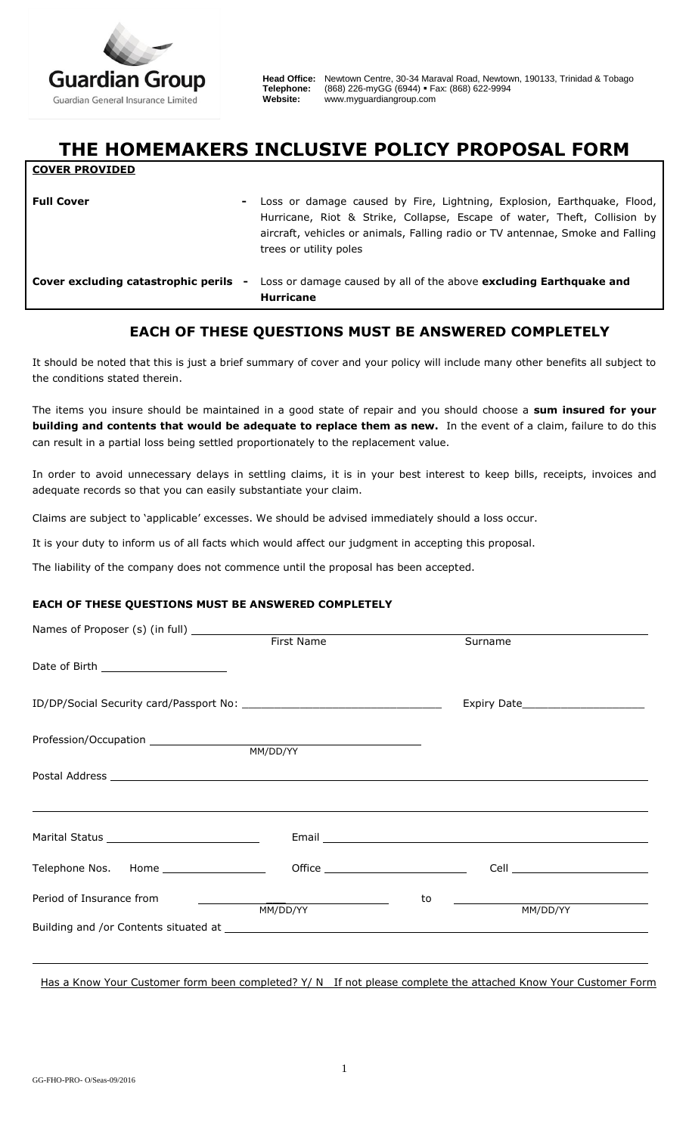

**COVER PROVIDED**

**Head Office:** Newtown Centre, 30-34 Maraval Road, Newtown, 190133, Trinidad & Tobago **Telephone:** (868) 226-myGG (6944) Fax: (868) 622-9994 **Website:** [www.myguardiangroup.com](http://www.myguardiangroup.com/)

## **THE HOMEMAKERS INCLUSIVE POLICY PROPOSAL FORM**

| <b>Full Cover</b>                   | - Loss or damage caused by Fire, Lightning, Explosion, Earthquake, Flood,<br>Hurricane, Riot & Strike, Collapse, Escape of water, Theft, Collision by<br>aircraft, vehicles or animals, Falling radio or TV antennae, Smoke and Falling<br>trees or utility poles |
|-------------------------------------|-------------------------------------------------------------------------------------------------------------------------------------------------------------------------------------------------------------------------------------------------------------------|
| Cover excluding catastrophic perils | Loss or damage caused by all of the above excluding Earthquake and<br>$\blacksquare$<br><b>Hurricane</b>                                                                                                                                                          |

## **EACH OF THESE QUESTIONS MUST BE ANSWERED COMPLETELY**

It should be noted that this is just a brief summary of cover and your policy will include many other benefits all subject to the conditions stated therein.

The items you insure should be maintained in a good state of repair and you should choose a **sum insured for your building and contents that would be adequate to replace them as new.** In the event of a claim, failure to do this can result in a partial loss being settled proportionately to the replacement value.

In order to avoid unnecessary delays in settling claims, it is in your best interest to keep bills, receipts, invoices and adequate records so that you can easily substantiate your claim.

Claims are subject to 'applicable' excesses. We should be advised immediately should a loss occur.

It is your duty to inform us of all facts which would affect our judgment in accepting this proposal.

The liability of the company does not commence until the proposal has been accepted.

## **EACH OF THESE QUESTIONS MUST BE ANSWERED COMPLETELY**

|                                          |          |    | Surname  |
|------------------------------------------|----------|----|----------|
| Date of Birth ________________________   |          |    |          |
|                                          |          |    |          |
|                                          |          |    |          |
|                                          |          |    |          |
|                                          |          |    |          |
| Telephone Nos. Home ____________________ |          |    |          |
| Period of Insurance from                 | MM/DD/YY | to | MM/DD/YY |
|                                          |          |    |          |
|                                          |          |    |          |

Has a Know Your Customer form been completed? Y/ N If not please complete the attached Know Your Customer Form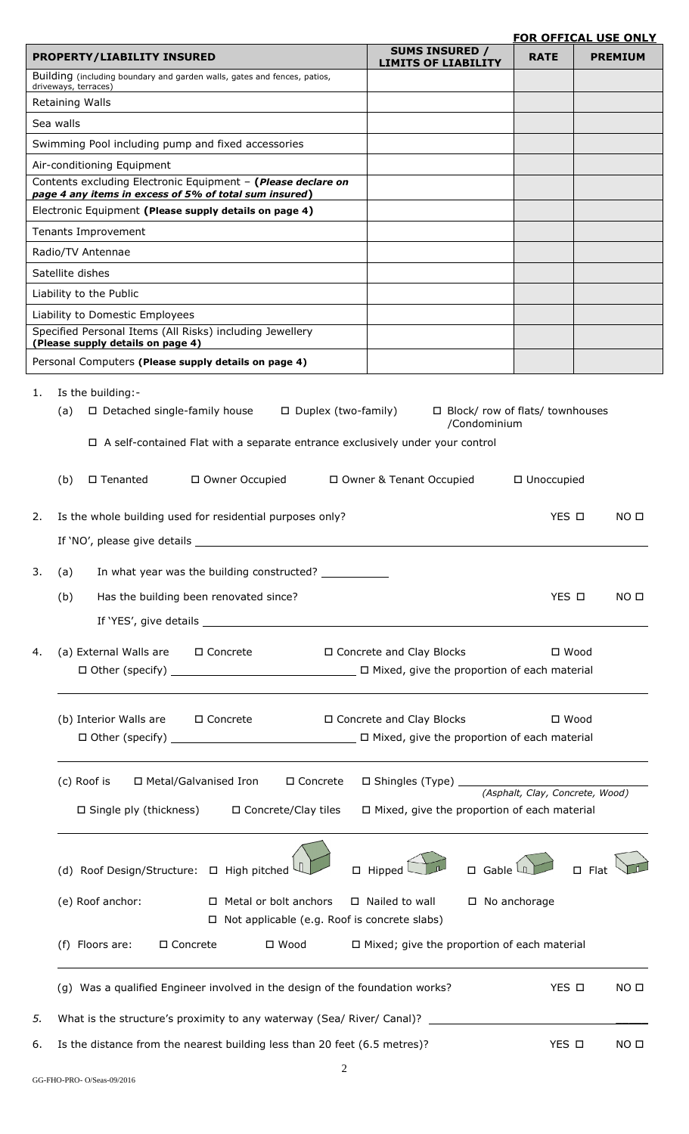## **FOR OFFICAL USE ONLY**

|                                                                                                                        |                                                     | <u>FOR OFFICAL USE ONLY</u>       |
|------------------------------------------------------------------------------------------------------------------------|-----------------------------------------------------|-----------------------------------|
| <b>PROPERTY/LIABILITY INSURED</b>                                                                                      | <b>SUMS INSURED /</b><br><b>LIMITS OF LIABILITY</b> | <b>RATE</b><br><b>PREMIUM</b>     |
| Building (including boundary and garden walls, gates and fences, patios,<br>driveways, terraces)                       |                                                     |                                   |
| Retaining Walls                                                                                                        |                                                     |                                   |
| Sea walls                                                                                                              |                                                     |                                   |
| Swimming Pool including pump and fixed accessories                                                                     |                                                     |                                   |
| Air-conditioning Equipment                                                                                             |                                                     |                                   |
| Contents excluding Electronic Equipment - (Please declare on<br>page 4 any items in excess of 5% of total sum insured) |                                                     |                                   |
| Electronic Equipment (Please supply details on page 4)                                                                 |                                                     |                                   |
| Tenants Improvement                                                                                                    |                                                     |                                   |
| Radio/TV Antennae                                                                                                      |                                                     |                                   |
| Satellite dishes                                                                                                       |                                                     |                                   |
| Liability to the Public                                                                                                |                                                     |                                   |
| Liability to Domestic Employees<br>Specified Personal Items (All Risks) including Jewellery                            |                                                     |                                   |
| (Please supply details on page 4)                                                                                      |                                                     |                                   |
| Personal Computers (Please supply details on page 4)                                                                   |                                                     |                                   |
| Is the building:-<br>1.                                                                                                |                                                     |                                   |
| (a)<br>$\Box$ Detached single-family house                                                                             | $\Box$ Duplex (two-family)                          | □ Block/ row of flats/ townhouses |
|                                                                                                                        | /Condominium                                        |                                   |
| $\Box$ A self-contained Flat with a separate entrance exclusively under your control                                   |                                                     |                                   |
| (b)<br>$\square$ Tenanted<br>□ Owner Occupied                                                                          | □ Owner & Tenant Occupied                           | □ Unoccupied                      |
| Is the whole building used for residential purposes only?<br>2.                                                        |                                                     | YES O<br>NO <sub>0</sub>          |
|                                                                                                                        |                                                     |                                   |
|                                                                                                                        |                                                     |                                   |
| In what year was the building constructed? _____________<br>3.<br>(a)                                                  |                                                     |                                   |
| Has the building been renovated since?<br>(b)                                                                          |                                                     | YES O<br>NO <sub>II</sub>         |
|                                                                                                                        |                                                     |                                   |
|                                                                                                                        |                                                     |                                   |
| (a) External Walls are □ Concrete<br>4.                                                                                | □ Concrete and Clay Blocks                          | $\square$ Wood                    |
|                                                                                                                        |                                                     |                                   |
|                                                                                                                        |                                                     |                                   |
| (b) Interior Walls are □ Concrete                                                                                      | □ Concrete and Clay Blocks                          | $\square$ Wood                    |
|                                                                                                                        |                                                     |                                   |
|                                                                                                                        |                                                     |                                   |
| (c) Roof is<br>□ Metal/Galvanised Iron<br>□ Concrete                                                                   |                                                     |                                   |
| □ Single ply (thickness) □ Concrete/Clay tiles                                                                         | $\Box$ Mixed, give the proportion of each material  |                                   |
|                                                                                                                        |                                                     |                                   |
|                                                                                                                        |                                                     |                                   |
| (d) Roof Design/Structure: $\Box$ High pitched                                                                         | $\Box$ Gable $\Box$<br>$\Box$ Hipped                | $\Box$ Flat                       |
| □ Metal or bolt anchors<br>(e) Roof anchor:                                                                            | $\Box$ Nailed to wall                               | □ No anchorage                    |
| $\Box$ Not applicable (e.g. Roof is concrete slabs)                                                                    |                                                     |                                   |
| (f) Floors are:<br>□ Concrete<br>$\square$ Wood                                                                        | $\Box$ Mixed; give the proportion of each material  |                                   |
|                                                                                                                        |                                                     |                                   |
| (g) Was a qualified Engineer involved in the design of the foundation works?                                           |                                                     | YES O<br>NO <sub>II</sub>         |
|                                                                                                                        |                                                     |                                   |
| 5.                                                                                                                     |                                                     |                                   |

6. Is the distance from the nearest building less than 20 feet (6.5 metres)?  $YES \Box$  NO  $\Box$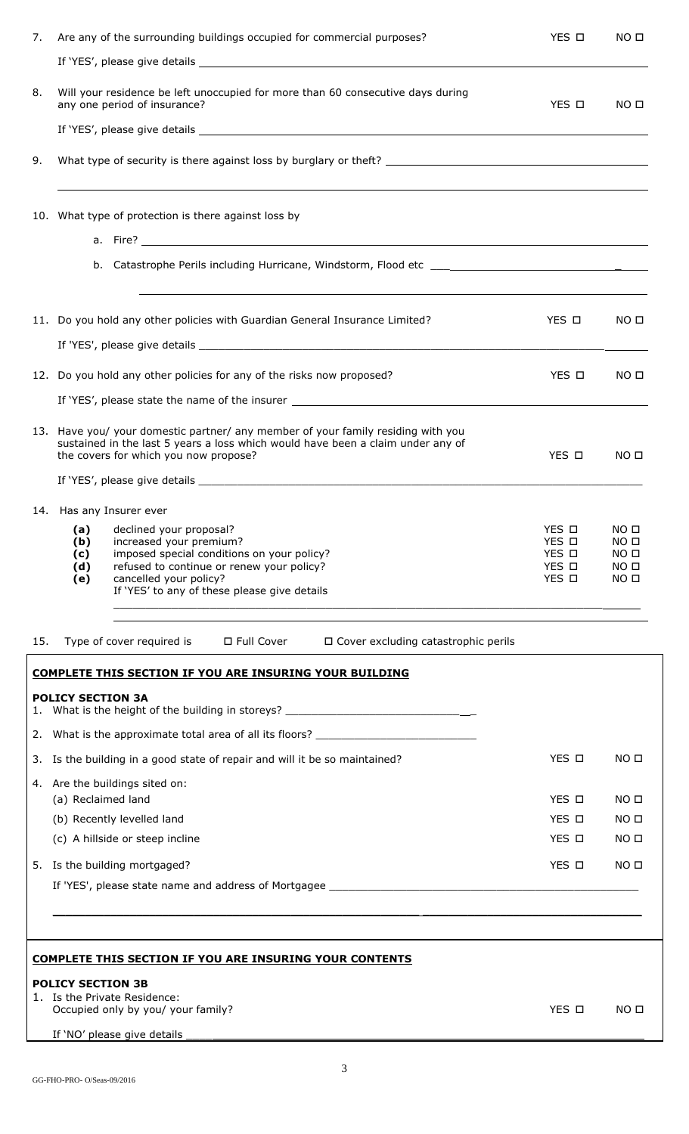| 7.  | Are any of the surrounding buildings occupied for commercial purposes?                                                                                                                                       | YES O          | NO <sub>II</sub>                     |
|-----|--------------------------------------------------------------------------------------------------------------------------------------------------------------------------------------------------------------|----------------|--------------------------------------|
|     |                                                                                                                                                                                                              |                |                                      |
| 8.  | Will your residence be left unoccupied for more than 60 consecutive days during<br>any one period of insurance?                                                                                              | YES O          | NO <sub>0</sub>                      |
|     |                                                                                                                                                                                                              |                |                                      |
| 9.  |                                                                                                                                                                                                              |                |                                      |
|     | 10. What type of protection is there against loss by                                                                                                                                                         |                |                                      |
|     |                                                                                                                                                                                                              |                |                                      |
|     | b.                                                                                                                                                                                                           |                |                                      |
|     | 11. Do you hold any other policies with Guardian General Insurance Limited?                                                                                                                                  | YES O          | NO <sub>0</sub>                      |
|     |                                                                                                                                                                                                              |                |                                      |
|     | 12. Do you hold any other policies for any of the risks now proposed?                                                                                                                                        | YES O          | NO <sub>II</sub>                     |
|     |                                                                                                                                                                                                              |                |                                      |
|     | 13. Have you/ your domestic partner/ any member of your family residing with you<br>sustained in the last 5 years a loss which would have been a claim under any of<br>the covers for which you now propose? | YES O          | NO <sub>II</sub>                     |
|     |                                                                                                                                                                                                              |                |                                      |
|     | 14. Has any Insurer ever                                                                                                                                                                                     |                |                                      |
|     | (a) declined your proposal?<br>(b)<br>increased your premium?                                                                                                                                                | YES O<br>YES O | NO <sub>D</sub><br>NO <sub>II</sub>  |
|     | imposed special conditions on your policy?<br>(c)<br>refused to continue or renew your policy?<br>(d)                                                                                                        | YES O<br>YES O | NO <sub>II</sub><br>NO <sub>0</sub>  |
|     | cancelled your policy?<br>(e)<br>If 'YES' to any of these please give details                                                                                                                                | YES O          | NO <sub>0</sub>                      |
|     |                                                                                                                                                                                                              |                |                                      |
| 15. | Type of cover required is $\Box$ Full Cover<br>$\Box$ Cover excluding catastrophic perils                                                                                                                    |                |                                      |
|     | <b>COMPLETE THIS SECTION IF YOU ARE INSURING YOUR BUILDING</b>                                                                                                                                               |                |                                      |
|     | <b>POLICY SECTION 3A</b><br>1. What is the height of the building in storeys? ______________________________                                                                                                 |                |                                      |
|     | 2. What is the approximate total area of all its floors? _______________________                                                                                                                             |                |                                      |
|     | 3. Is the building in a good state of repair and will it be so maintained?                                                                                                                                   | YES O          | NO <sub>II</sub>                     |
|     | 4. Are the buildings sited on:                                                                                                                                                                               |                |                                      |
|     | (a) Reclaimed land<br>(b) Recently levelled land                                                                                                                                                             | YES O<br>YES O | NO <sub>II</sub><br>NO <sub>II</sub> |
|     | (c) A hillside or steep incline                                                                                                                                                                              | YES O          | NO <sub>0</sub>                      |
|     | 5. Is the building mortgaged?                                                                                                                                                                                | YES O          | NO <sub>II</sub>                     |
|     |                                                                                                                                                                                                              |                |                                      |
|     |                                                                                                                                                                                                              |                |                                      |
|     |                                                                                                                                                                                                              |                |                                      |
|     | <b>COMPLETE THIS SECTION IF YOU ARE INSURING YOUR CONTENTS</b>                                                                                                                                               |                |                                      |
|     | <b>POLICY SECTION 3B</b>                                                                                                                                                                                     |                |                                      |

1. Is the Private Residence: Occupied only by you/ your family?  $\blacksquare$ 

If 'NO' please give details